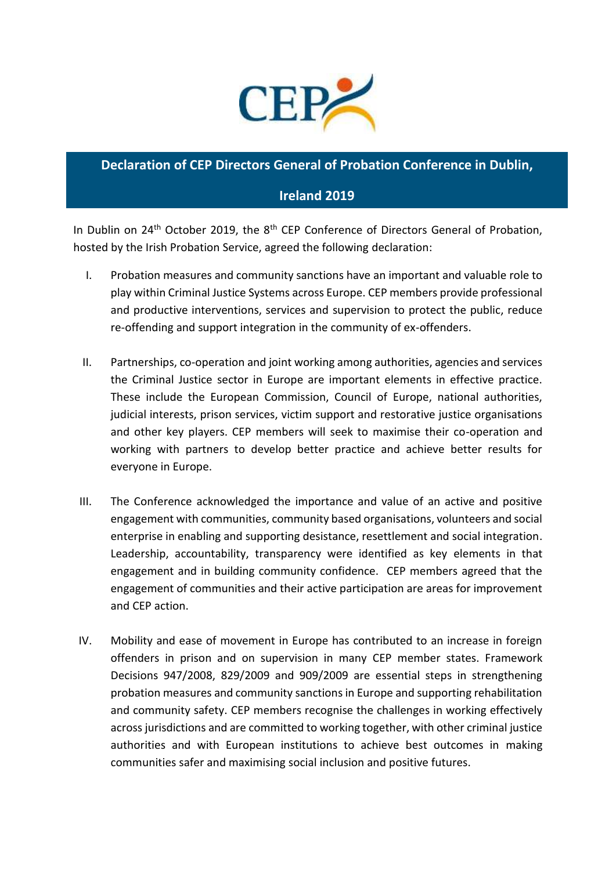

## **Declaration of CEP Directors General of Probation Conference in Dublin,**

## **Ireland 2019**

In Dublin on  $24<sup>th</sup>$  October 2019, the  $8<sup>th</sup>$  CEP Conference of Directors General of Probation, hosted by the Irish Probation Service, agreed the following declaration:

- I. Probation measures and community sanctions have an important and valuable role to play within Criminal Justice Systems across Europe. CEP members provide professional and productive interventions, services and supervision to protect the public, reduce re-offending and support integration in the community of ex-offenders.
- II. Partnerships, co-operation and joint working among authorities, agencies and services the Criminal Justice sector in Europe are important elements in effective practice. These include the European Commission, Council of Europe, national authorities, judicial interests, prison services, victim support and restorative justice organisations and other key players. CEP members will seek to maximise their co-operation and working with partners to develop better practice and achieve better results for everyone in Europe.
- III. The Conference acknowledged the importance and value of an active and positive engagement with communities, community based organisations, volunteers and social enterprise in enabling and supporting desistance, resettlement and social integration. Leadership, accountability, transparency were identified as key elements in that engagement and in building community confidence. CEP members agreed that the engagement of communities and their active participation are areas for improvement and CEP action.
- IV. Mobility and ease of movement in Europe has contributed to an increase in foreign offenders in prison and on supervision in many CEP member states. Framework Decisions 947/2008, 829/2009 and 909/2009 are essential steps in strengthening probation measures and community sanctions in Europe and supporting rehabilitation and community safety. CEP members recognise the challenges in working effectively across jurisdictions and are committed to working together, with other criminal justice authorities and with European institutions to achieve best outcomes in making communities safer and maximising social inclusion and positive futures.